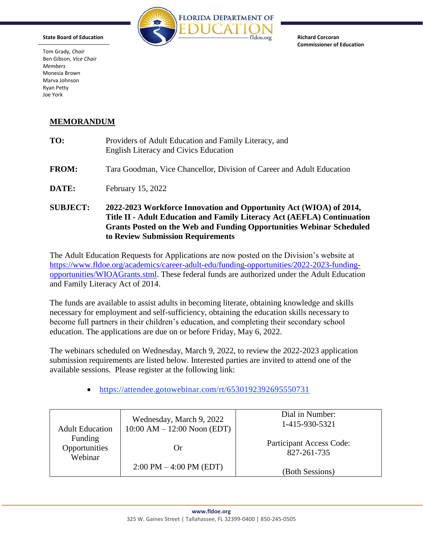

**Richard Corcoran Commissioner of Education** 

Tom Grady, *Chair* Ben Gibson, *Vice Chair Members*  Monesia Brown Marva Johnson Ryan Petty Joe York

**State Board of Education** 

## **MEMORANDUM**

| TO:             | Providers of Adult Education and Family Literacy, and<br><b>English Literacy and Civics Education</b>                                                                                                                                                             |  |
|-----------------|-------------------------------------------------------------------------------------------------------------------------------------------------------------------------------------------------------------------------------------------------------------------|--|
| <b>FROM:</b>    | Tara Goodman, Vice Chancellor, Division of Career and Adult Education                                                                                                                                                                                             |  |
| DATE:           | February 15, 2022                                                                                                                                                                                                                                                 |  |
| <b>SUBJECT:</b> | 2022-2023 Workforce Innovation and Opportunity Act (WIOA) of 2014,<br>Title II - Adult Education and Family Literacy Act (AEFLA) Continuation<br><b>Grants Posted on the Web and Funding Opportunities Webinar Scheduled</b><br>to Review Submission Requirements |  |

The Adult Education Requests for Applications are now posted on the Division's website at [https://www.fldoe.org/academics/career-adult-edu/funding-opportunities/2022-2023-funding](https://www.fldoe.org/academics/career-adult-edu/funding-opportunities/2022-2023-funding-opportunities/WIOAGrants.stml)[opportunities/WIOAGrants.stml.](https://www.fldoe.org/academics/career-adult-edu/funding-opportunities/2022-2023-funding-opportunities/WIOAGrants.stml) These federal funds are authorized under the Adult Education and Family Literacy Act of 2014.

The funds are available to assist adults in becoming literate, obtaining knowledge and skills necessary for employment and self-sufficiency, obtaining the education skills necessary to become full partners in their children's education, and completing their secondary school education. The applications are due on or before Friday, May 6, 2022.

The webinars scheduled on Wednesday, March 9, 2022, to review the 2022-2023 application submission requirements are listed below. Interested parties are invited to attend one of the available sessions. Please register at the following link:

<https://attendee.gotowebinar.com/rt/6530192392695550731>

| <b>Adult Education</b>              | Wednesday, March 9, 2022<br>$10:00$ AM $- 12:00$ Noon (EDT) | Dial in Number:<br>1-415-930-5321              |
|-------------------------------------|-------------------------------------------------------------|------------------------------------------------|
| Funding<br>Opportunities<br>Webinar | ( )r                                                        | <b>Participant Access Code:</b><br>827-261-735 |
|                                     | $2:00 \text{ PM} - 4:00 \text{ PM} \text{ (EDT)}$           | (Both Sessions)                                |